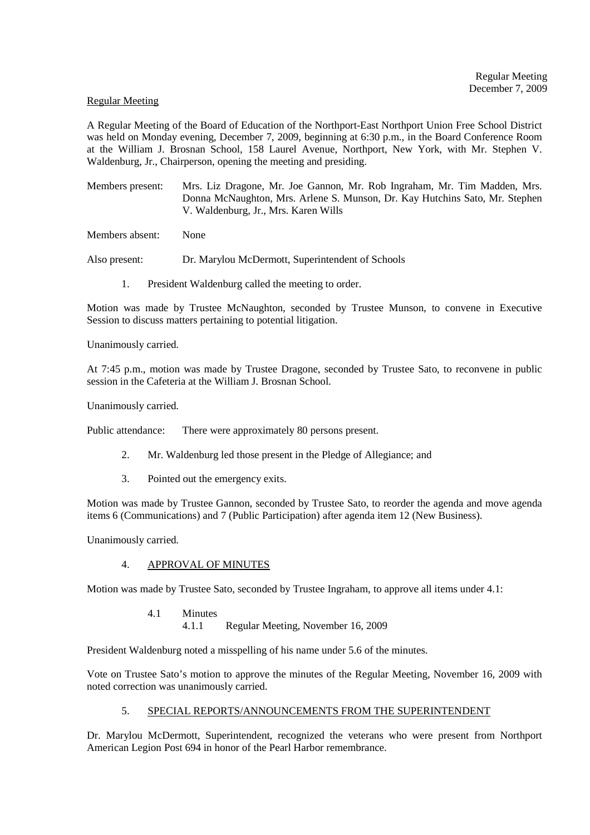#### Regular Meeting

A Regular Meeting of the Board of Education of the Northport-East Northport Union Free School District was held on Monday evening, December 7, 2009, beginning at 6:30 p.m., in the Board Conference Room at the William J. Brosnan School, 158 Laurel Avenue, Northport, New York, with Mr. Stephen V. Waldenburg, Jr., Chairperson, opening the meeting and presiding.

Members present: Mrs. Liz Dragone, Mr. Joe Gannon, Mr. Rob Ingraham, Mr. Tim Madden, Mrs. Donna McNaughton, Mrs. Arlene S. Munson, Dr. Kay Hutchins Sato, Mr. Stephen V. Waldenburg, Jr., Mrs. Karen Wills

Members absent: None

Also present: Dr. Marylou McDermott, Superintendent of Schools

1. President Waldenburg called the meeting to order.

Motion was made by Trustee McNaughton, seconded by Trustee Munson, to convene in Executive Session to discuss matters pertaining to potential litigation.

Unanimously carried.

At 7:45 p.m., motion was made by Trustee Dragone, seconded by Trustee Sato, to reconvene in public session in the Cafeteria at the William J. Brosnan School.

Unanimously carried.

Public attendance: There were approximately 80 persons present.

- 2. Mr. Waldenburg led those present in the Pledge of Allegiance; and
- 3. Pointed out the emergency exits.

Motion was made by Trustee Gannon, seconded by Trustee Sato, to reorder the agenda and move agenda items 6 (Communications) and 7 (Public Participation) after agenda item 12 (New Business).

Unanimously carried.

# 4. APPROVAL OF MINUTES

Motion was made by Trustee Sato, seconded by Trustee Ingraham, to approve all items under 4.1:

4.1 Minutes 4.1.1 Regular Meeting, November 16, 2009

President Waldenburg noted a misspelling of his name under 5.6 of the minutes.

Vote on Trustee Sato's motion to approve the minutes of the Regular Meeting, November 16, 2009 with noted correction was unanimously carried.

# 5. SPECIAL REPORTS/ANNOUNCEMENTS FROM THE SUPERINTENDENT

Dr. Marylou McDermott, Superintendent, recognized the veterans who were present from Northport American Legion Post 694 in honor of the Pearl Harbor remembrance.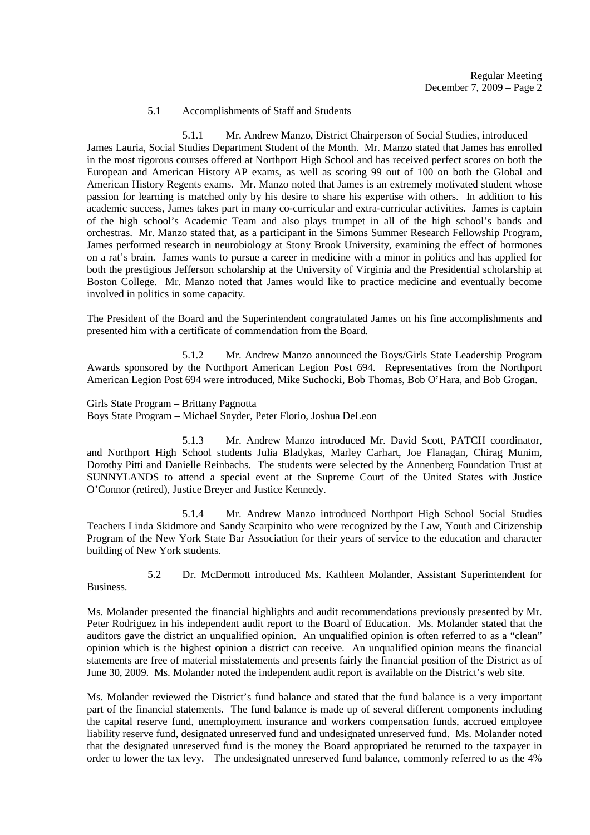## 5.1 Accomplishments of Staff and Students

 5.1.1 Mr. Andrew Manzo, District Chairperson of Social Studies, introduced James Lauria, Social Studies Department Student of the Month. Mr. Manzo stated that James has enrolled in the most rigorous courses offered at Northport High School and has received perfect scores on both the European and American History AP exams, as well as scoring 99 out of 100 on both the Global and American History Regents exams. Mr. Manzo noted that James is an extremely motivated student whose passion for learning is matched only by his desire to share his expertise with others. In addition to his academic success, James takes part in many co-curricular and extra-curricular activities. James is captain of the high school's Academic Team and also plays trumpet in all of the high school's bands and orchestras. Mr. Manzo stated that, as a participant in the Simons Summer Research Fellowship Program, James performed research in neurobiology at Stony Brook University, examining the effect of hormones on a rat's brain. James wants to pursue a career in medicine with a minor in politics and has applied for both the prestigious Jefferson scholarship at the University of Virginia and the Presidential scholarship at Boston College. Mr. Manzo noted that James would like to practice medicine and eventually become involved in politics in some capacity.

The President of the Board and the Superintendent congratulated James on his fine accomplishments and presented him with a certificate of commendation from the Board.

 5.1.2 Mr. Andrew Manzo announced the Boys/Girls State Leadership Program Awards sponsored by the Northport American Legion Post 694. Representatives from the Northport American Legion Post 694 were introduced, Mike Suchocki, Bob Thomas, Bob O'Hara, and Bob Grogan.

Girls State Program – Brittany Pagnotta

Boys State Program – Michael Snyder, Peter Florio, Joshua DeLeon

 5.1.3 Mr. Andrew Manzo introduced Mr. David Scott, PATCH coordinator, and Northport High School students Julia Bladykas, Marley Carhart, Joe Flanagan, Chirag Munim, Dorothy Pitti and Danielle Reinbachs. The students were selected by the Annenberg Foundation Trust at SUNNYLANDS to attend a special event at the Supreme Court of the United States with Justice O'Connor (retired), Justice Breyer and Justice Kennedy.

 5.1.4 Mr. Andrew Manzo introduced Northport High School Social Studies Teachers Linda Skidmore and Sandy Scarpinito who were recognized by the Law, Youth and Citizenship Program of the New York State Bar Association for their years of service to the education and character building of New York students.

 5.2 Dr. McDermott introduced Ms. Kathleen Molander, Assistant Superintendent for Business.

Ms. Molander presented the financial highlights and audit recommendations previously presented by Mr. Peter Rodriguez in his independent audit report to the Board of Education. Ms. Molander stated that the auditors gave the district an unqualified opinion. An unqualified opinion is often referred to as a "clean" opinion which is the highest opinion a district can receive. An unqualified opinion means the financial statements are free of material misstatements and presents fairly the financial position of the District as of June 30, 2009. Ms. Molander noted the independent audit report is available on the District's web site.

Ms. Molander reviewed the District's fund balance and stated that the fund balance is a very important part of the financial statements. The fund balance is made up of several different components including the capital reserve fund, unemployment insurance and workers compensation funds, accrued employee liability reserve fund, designated unreserved fund and undesignated unreserved fund. Ms. Molander noted that the designated unreserved fund is the money the Board appropriated be returned to the taxpayer in order to lower the tax levy. The undesignated unreserved fund balance, commonly referred to as the 4%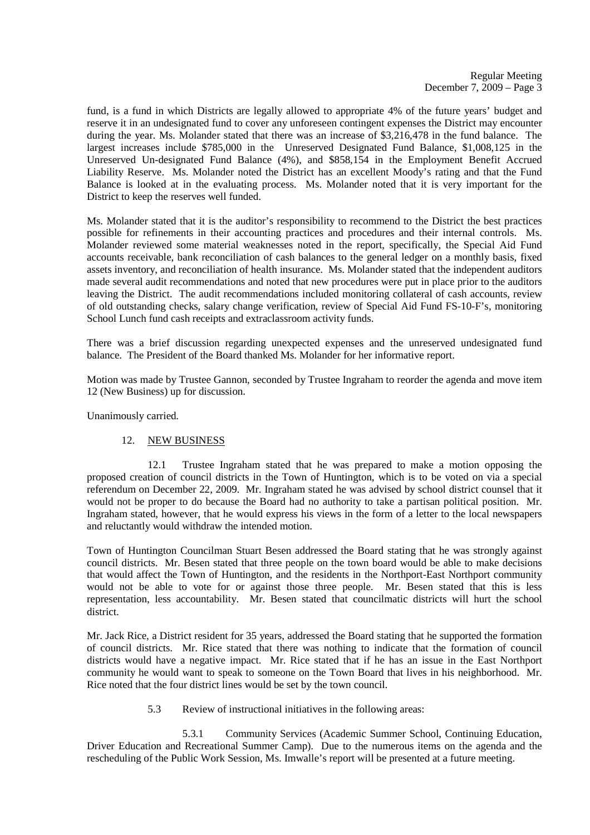fund, is a fund in which Districts are legally allowed to appropriate 4% of the future years' budget and reserve it in an undesignated fund to cover any unforeseen contingent expenses the District may encounter during the year. Ms. Molander stated that there was an increase of \$3,216,478 in the fund balance. The largest increases include \$785,000 in the Unreserved Designated Fund Balance, \$1,008,125 in the Unreserved Un-designated Fund Balance (4%), and \$858,154 in the Employment Benefit Accrued Liability Reserve. Ms. Molander noted the District has an excellent Moody's rating and that the Fund Balance is looked at in the evaluating process. Ms. Molander noted that it is very important for the District to keep the reserves well funded.

Ms. Molander stated that it is the auditor's responsibility to recommend to the District the best practices possible for refinements in their accounting practices and procedures and their internal controls. Ms. Molander reviewed some material weaknesses noted in the report, specifically, the Special Aid Fund accounts receivable, bank reconciliation of cash balances to the general ledger on a monthly basis, fixed assets inventory, and reconciliation of health insurance. Ms. Molander stated that the independent auditors made several audit recommendations and noted that new procedures were put in place prior to the auditors leaving the District. The audit recommendations included monitoring collateral of cash accounts, review of old outstanding checks, salary change verification, review of Special Aid Fund FS-10-F's, monitoring School Lunch fund cash receipts and extraclassroom activity funds.

There was a brief discussion regarding unexpected expenses and the unreserved undesignated fund balance. The President of the Board thanked Ms. Molander for her informative report.

Motion was made by Trustee Gannon, seconded by Trustee Ingraham to reorder the agenda and move item 12 (New Business) up for discussion.

Unanimously carried.

# 12. NEW BUSINESS

 12.1 Trustee Ingraham stated that he was prepared to make a motion opposing the proposed creation of council districts in the Town of Huntington, which is to be voted on via a special referendum on December 22, 2009. Mr. Ingraham stated he was advised by school district counsel that it would not be proper to do because the Board had no authority to take a partisan political position. Mr. Ingraham stated, however, that he would express his views in the form of a letter to the local newspapers and reluctantly would withdraw the intended motion.

Town of Huntington Councilman Stuart Besen addressed the Board stating that he was strongly against council districts. Mr. Besen stated that three people on the town board would be able to make decisions that would affect the Town of Huntington, and the residents in the Northport-East Northport community would not be able to vote for or against those three people. Mr. Besen stated that this is less representation, less accountability. Mr. Besen stated that councilmatic districts will hurt the school district.

Mr. Jack Rice, a District resident for 35 years, addressed the Board stating that he supported the formation of council districts. Mr. Rice stated that there was nothing to indicate that the formation of council districts would have a negative impact. Mr. Rice stated that if he has an issue in the East Northport community he would want to speak to someone on the Town Board that lives in his neighborhood. Mr. Rice noted that the four district lines would be set by the town council.

5.3 Review of instructional initiatives in the following areas:

 5.3.1 Community Services (Academic Summer School, Continuing Education, Driver Education and Recreational Summer Camp). Due to the numerous items on the agenda and the rescheduling of the Public Work Session, Ms. Imwalle's report will be presented at a future meeting.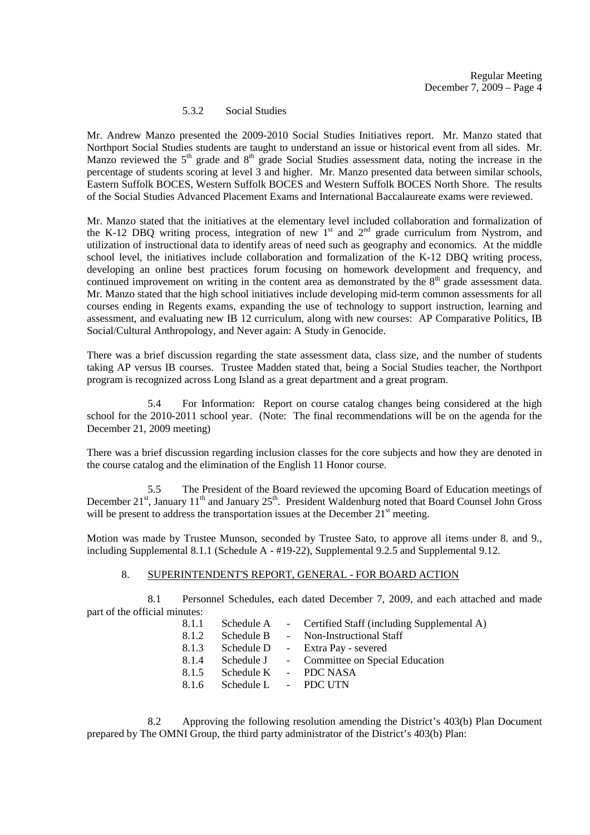## 5.3.2 Social Studies

Mr. Andrew Manzo presented the 2009-2010 Social Studies Initiatives report. Mr. Manzo stated that Northport Social Studies students are taught to understand an issue or historical event from all sides. Mr. Manzo reviewed the  $5<sup>th</sup>$  grade and  $8<sup>th</sup>$  grade Social Studies assessment data, noting the increase in the percentage of students scoring at level 3 and higher. Mr. Manzo presented data between similar schools, Eastern Suffolk BOCES, Western Suffolk BOCES and Western Suffolk BOCES North Shore. The results of the Social Studies Advanced Placement Exams and International Baccalaureate exams were reviewed.

Mr. Manzo stated that the initiatives at the elementary level included collaboration and formalization of the K-12 DBQ writing process, integration of new  $1<sup>st</sup>$  and  $2<sup>nd</sup>$  grade curriculum from Nystrom, and utilization of instructional data to identify areas of need such as geography and economics. At the middle school level, the initiatives include collaboration and formalization of the K-12 DBQ writing process, developing an online best practices forum focusing on homework development and frequency, and continued improvement on writing in the content area as demonstrated by the  $8<sup>th</sup>$  grade assessment data. Mr. Manzo stated that the high school initiatives include developing mid-term common assessments for all courses ending in Regents exams, expanding the use of technology to support instruction, learning and assessment, and evaluating new IB 12 curriculum, along with new courses: AP Comparative Politics, IB Social/Cultural Anthropology, and Never again: A Study in Genocide.

There was a brief discussion regarding the state assessment data, class size, and the number of students taking AP versus IB courses. Trustee Madden stated that, being a Social Studies teacher, the Northport program is recognized across Long Island as a great department and a great program.

 5.4 For Information: Report on course catalog changes being considered at the high school for the 2010-2011 school year. (Note: The final recommendations will be on the agenda for the December 21, 2009 meeting)

There was a brief discussion regarding inclusion classes for the core subjects and how they are denoted in the course catalog and the elimination of the English 11 Honor course.

 5.5 The President of the Board reviewed the upcoming Board of Education meetings of December 21<sup>st</sup>, January 11<sup>th</sup> and January 25<sup>th</sup>. President Waldenburg noted that Board Counsel John Gross will be present to address the transportation issues at the December  $21<sup>st</sup>$  meeting.

Motion was made by Trustee Munson, seconded by Trustee Sato, to approve all items under 8. and 9., including Supplemental 8.1.1 (Schedule A - #19-22), Supplemental 9.2.5 and Supplemental 9.12.

#### 8. SUPERINTENDENT'S REPORT, GENERAL - FOR BOARD ACTION

 8.1 Personnel Schedules, each dated December 7, 2009, and each attached and made part of the official minutes:

| 8.1.1 |                      | Schedule A - Certified Staff (including Supplemental A) |
|-------|----------------------|---------------------------------------------------------|
| 8.1.2 | Schedule B           | - Non-Instructional Staff                               |
| 8.1.3 | Schedule D           | - Extra Pay - severed                                   |
| 8.1.4 |                      | Schedule J - Committee on Special Education             |
| 8.1.5 | Schedule K           | - PDC NASA                                              |
| 8.1.6 | Schedule L - PDC UTN |                                                         |

 8.2 Approving the following resolution amending the District's 403(b) Plan Document prepared by The OMNI Group, the third party administrator of the District's 403(b) Plan: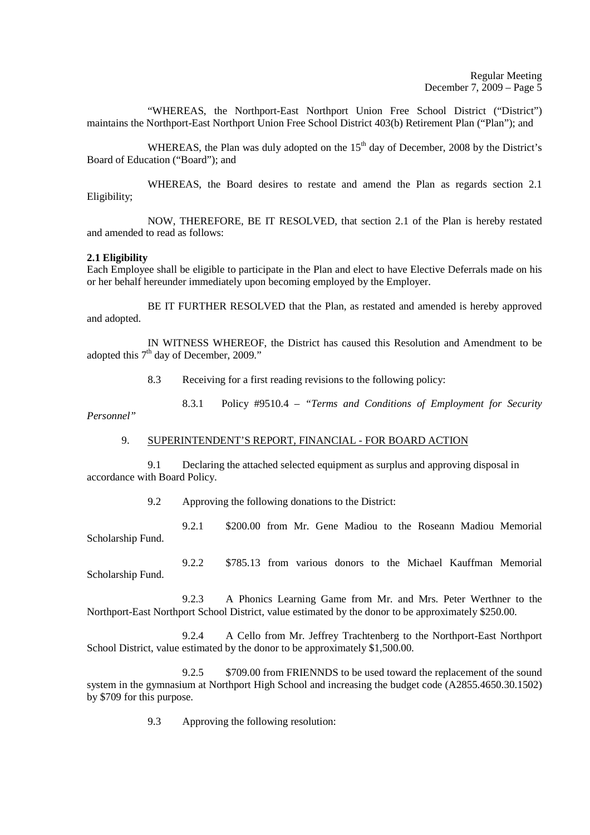"WHEREAS, the Northport-East Northport Union Free School District ("District") maintains the Northport-East Northport Union Free School District 403(b) Retirement Plan ("Plan"); and

WHEREAS, the Plan was duly adopted on the  $15<sup>th</sup>$  day of December, 2008 by the District's Board of Education ("Board"); and

 WHEREAS, the Board desires to restate and amend the Plan as regards section 2.1 Eligibility;

 NOW, THEREFORE, BE IT RESOLVED, that section 2.1 of the Plan is hereby restated and amended to read as follows:

#### **2.1 Eligibility**

Each Employee shall be eligible to participate in the Plan and elect to have Elective Deferrals made on his or her behalf hereunder immediately upon becoming employed by the Employer.

 BE IT FURTHER RESOLVED that the Plan, as restated and amended is hereby approved and adopted.

 IN WITNESS WHEREOF, the District has caused this Resolution and Amendment to be adopted this  $7<sup>th</sup>$  day of December, 2009."

8.3 Receiving for a first reading revisions to the following policy:

 8.3.1 Policy #9510.4 – *"Terms and Conditions of Employment for Security Personnel"* 

#### 9. SUPERINTENDENT'S REPORT, FINANCIAL - FOR BOARD ACTION

 9.1 Declaring the attached selected equipment as surplus and approving disposal in accordance with Board Policy.

9.2 Approving the following donations to the District:

 9.2.1 \$200.00 from Mr. Gene Madiou to the Roseann Madiou Memorial Scholarship Fund.

 9.2.2 \$785.13 from various donors to the Michael Kauffman Memorial Scholarship Fund.

 9.2.3 A Phonics Learning Game from Mr. and Mrs. Peter Werthner to the Northport-East Northport School District, value estimated by the donor to be approximately \$250.00.

 9.2.4 A Cello from Mr. Jeffrey Trachtenberg to the Northport-East Northport School District, value estimated by the donor to be approximately \$1,500.00.

9.2.5 \$709.00 from FRIENNDS to be used toward the replacement of the sound system in the gymnasium at Northport High School and increasing the budget code (A2855.4650.30.1502) by \$709 for this purpose.

9.3 Approving the following resolution: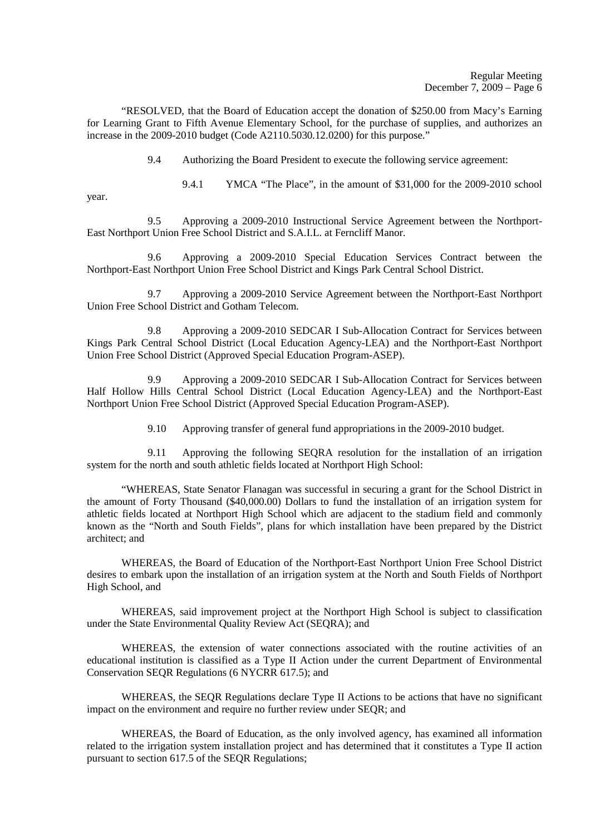"RESOLVED, that the Board of Education accept the donation of \$250.00 from Macy's Earning for Learning Grant to Fifth Avenue Elementary School, for the purchase of supplies, and authorizes an increase in the 2009-2010 budget (Code A2110.5030.12.0200) for this purpose."

9.4 Authorizing the Board President to execute the following service agreement:

9.4.1 YMCA "The Place", in the amount of \$31,000 for the 2009-2010 school

year.

 9.5 Approving a 2009-2010 Instructional Service Agreement between the Northport-East Northport Union Free School District and S.A.I.L. at Ferncliff Manor.

 9.6 Approving a 2009-2010 Special Education Services Contract between the Northport-East Northport Union Free School District and Kings Park Central School District.

 9.7 Approving a 2009-2010 Service Agreement between the Northport-East Northport Union Free School District and Gotham Telecom.

 9.8 Approving a 2009-2010 SEDCAR I Sub-Allocation Contract for Services between Kings Park Central School District (Local Education Agency-LEA) and the Northport-East Northport Union Free School District (Approved Special Education Program-ASEP).

 9.9 Approving a 2009-2010 SEDCAR I Sub-Allocation Contract for Services between Half Hollow Hills Central School District (Local Education Agency-LEA) and the Northport-East Northport Union Free School District (Approved Special Education Program-ASEP).

9.10 Approving transfer of general fund appropriations in the 2009-2010 budget.

 9.11 Approving the following SEQRA resolution for the installation of an irrigation system for the north and south athletic fields located at Northport High School:

 "WHEREAS, State Senator Flanagan was successful in securing a grant for the School District in the amount of Forty Thousand (\$40,000.00) Dollars to fund the installation of an irrigation system for athletic fields located at Northport High School which are adjacent to the stadium field and commonly known as the "North and South Fields", plans for which installation have been prepared by the District architect; and

 WHEREAS, the Board of Education of the Northport-East Northport Union Free School District desires to embark upon the installation of an irrigation system at the North and South Fields of Northport High School, and

 WHEREAS, said improvement project at the Northport High School is subject to classification under the State Environmental Quality Review Act (SEQRA); and

 WHEREAS, the extension of water connections associated with the routine activities of an educational institution is classified as a Type II Action under the current Department of Environmental Conservation SEQR Regulations (6 NYCRR 617.5); and

 WHEREAS, the SEQR Regulations declare Type II Actions to be actions that have no significant impact on the environment and require no further review under SEQR; and

 WHEREAS, the Board of Education, as the only involved agency, has examined all information related to the irrigation system installation project and has determined that it constitutes a Type II action pursuant to section 617.5 of the SEQR Regulations;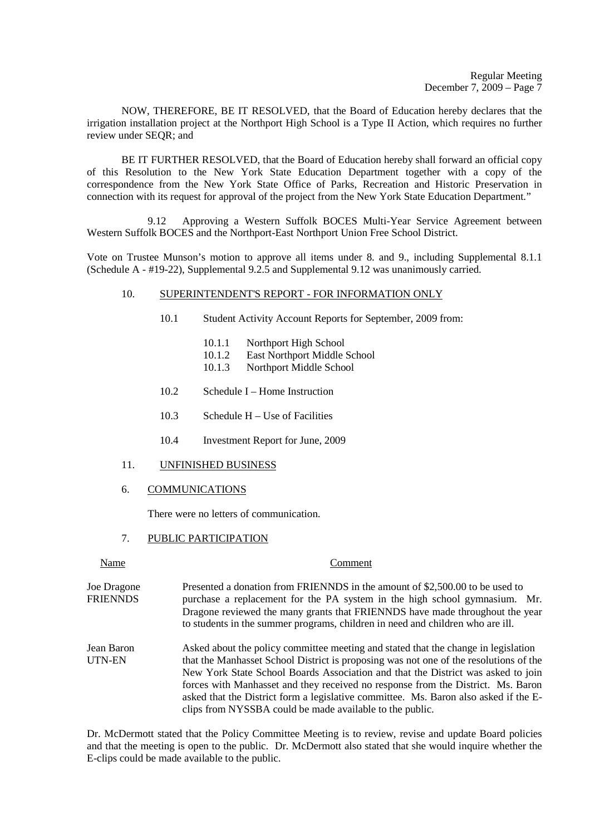NOW, THEREFORE, BE IT RESOLVED, that the Board of Education hereby declares that the irrigation installation project at the Northport High School is a Type II Action, which requires no further review under SEQR; and

 BE IT FURTHER RESOLVED, that the Board of Education hereby shall forward an official copy of this Resolution to the New York State Education Department together with a copy of the correspondence from the New York State Office of Parks, Recreation and Historic Preservation in connection with its request for approval of the project from the New York State Education Department."

 9.12 Approving a Western Suffolk BOCES Multi-Year Service Agreement between Western Suffolk BOCES and the Northport-East Northport Union Free School District.

Vote on Trustee Munson's motion to approve all items under 8. and 9., including Supplemental 8.1.1 (Schedule A - #19-22), Supplemental 9.2.5 and Supplemental 9.12 was unanimously carried.

## 10. SUPERINTENDENT'S REPORT - FOR INFORMATION ONLY

- 10.1 Student Activity Account Reports for September, 2009 from:
	- 10.1.1 Northport High School<br>10.1.2 East Northport Middle 9
	- East Northport Middle School
	- 10.1.3 Northport Middle School
- 10.2 Schedule I Home Instruction
- 10.3 Schedule H Use of Facilities
- 10.4 Investment Report for June, 2009
- 11. UNFINISHED BUSINESS
- 6. COMMUNICATIONS

There were no letters of communication.

#### 7. PUBLIC PARTICIPATION

# Name Comment Joe Dragone Presented a donation from FRIENNDS in the amount of \$2,500.00 to be used to FRIENNDS purchase a replacement for the PA system in the high school gymnasium. Mr. Dragone reviewed the many grants that FRIENNDS have made throughout the year to students in the summer programs, children in need and children who are ill. Jean Baron Asked about the policy committee meeting and stated that the change in legislation UTN-EN that the Manhasset School District is proposing was not one of the resolutions of the New York State School Boards Association and that the District was asked to join forces with Manhasset and they received no response from the District. Ms. Baron asked that the District form a legislative committee. Ms. Baron also asked if the Eclips from NYSSBA could be made available to the public.

Dr. McDermott stated that the Policy Committee Meeting is to review, revise and update Board policies and that the meeting is open to the public. Dr. McDermott also stated that she would inquire whether the E-clips could be made available to the public.